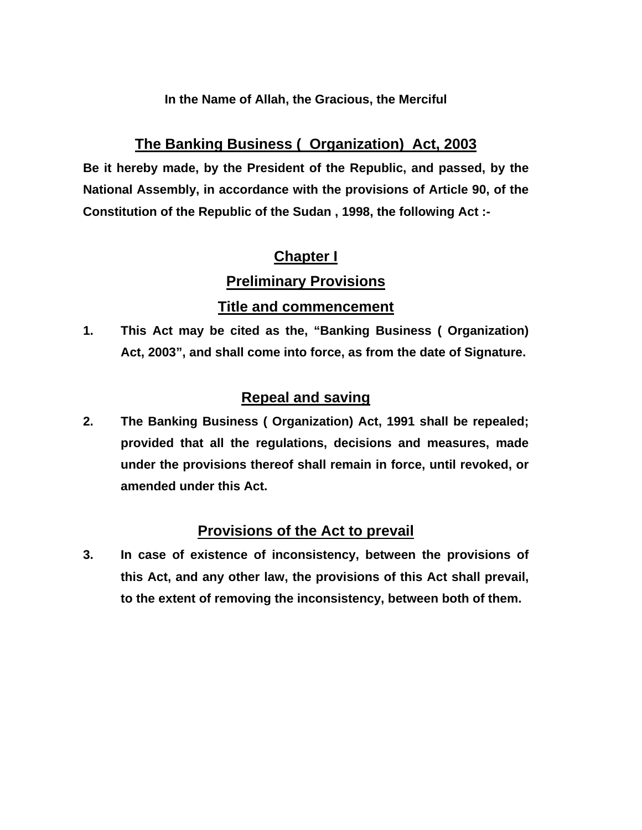# **In the Name of Allah, the Gracious, the Merciful**

# **The Banking Business ( Organization) Act, 2003**

**Be it hereby made, by the President of the Republic, and passed, by the National Assembly, in accordance with the provisions of Article 90, of the Constitution of the Republic of the Sudan , 1998, the following Act :-** 

# **Chapter I**

# **Preliminary Provisions**

# **Title and commencement**

**1. This Act may be cited as the, "Banking Business ( Organization) Act, 2003", and shall come into force, as from the date of Signature.** 

# **Repeal and saving**

**2. The Banking Business ( Organization) Act, 1991 shall be repealed; provided that all the regulations, decisions and measures, made under the provisions thereof shall remain in force, until revoked, or amended under this Act.** 

# **Provisions of the Act to prevail**

**3. In case of existence of inconsistency, between the provisions of this Act, and any other law, the provisions of this Act shall prevail, to the extent of removing the inconsistency, between both of them.**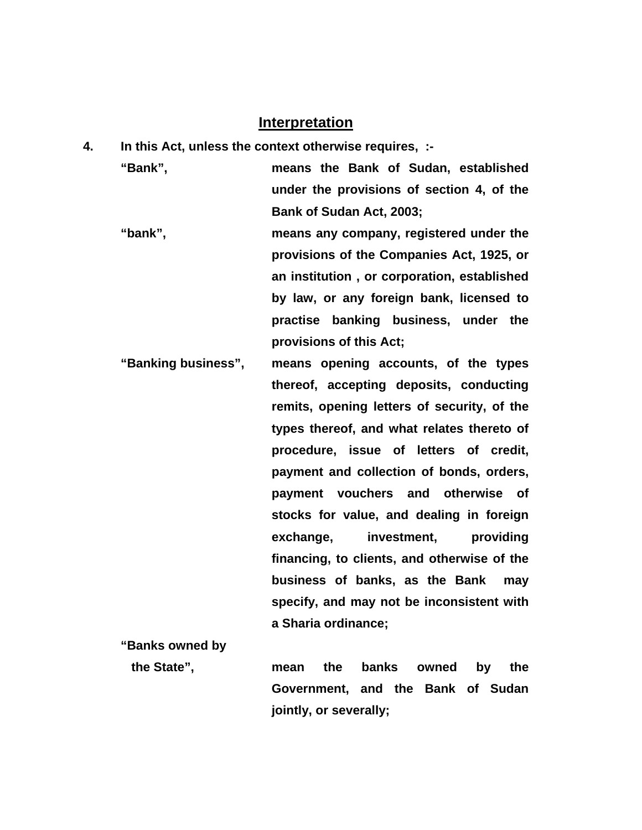# **Interpretation**

**4. In this Act, unless the context otherwise requires, :-** 

**"Bank", means the Bank of Sudan, established under the provisions of section 4, of the Bank of Sudan Act, 2003;** 

- **"bank", means any company, registered under the provisions of the Companies Act, 1925, or an institution , or corporation, established by law, or any foreign bank, licensed to practise banking business, under the provisions of this Act;**
- **"Banking business", means opening accounts, of the types thereof, accepting deposits, conducting remits, opening letters of security, of the types thereof, and what relates thereto of procedure, issue of letters of credit, payment and collection of bonds, orders, payment vouchers and otherwise of stocks for value, and dealing in foreign exchange, investment, providing financing, to clients, and otherwise of the business of banks, as the Bank may specify, and may not be inconsistent with a Sharia ordinance;**

**"Banks owned by the State", mean the banks owned by the Government, and the Bank of Sudan jointly, or severally;**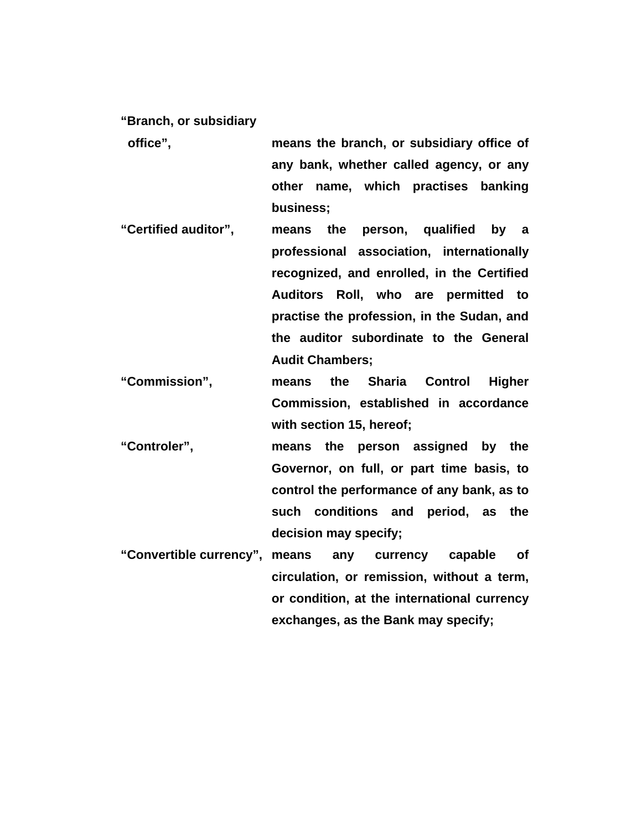**"Branch, or subsidiary** 

- **office", means the branch, or subsidiary office of any bank, whether called agency, or any other name, which practises banking business;**
- **"Certified auditor", means the person, qualified by a professional association, internationally recognized, and enrolled, in the Certified Auditors Roll, who are permitted to practise the profession, in the Sudan, and the auditor subordinate to the General Audit Chambers;**
- **"Commission", means the Sharia Control Higher Commission, established in accordance with section 15, hereof;**
- **"Controler", means the person assigned by the Governor, on full, or part time basis, to control the performance of any bank, as to such conditions and period, as the decision may specify;**
- **"Convertible currency", means any currency capable of circulation, or remission, without a term, or condition, at the international currency exchanges, as the Bank may specify;**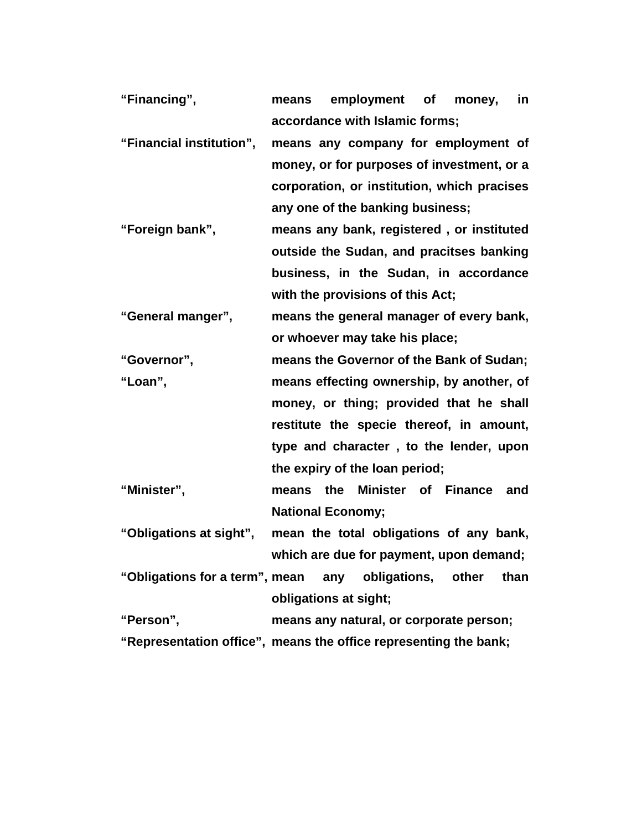| "Financing",             | employment of<br>in<br>money,<br>means                           |
|--------------------------|------------------------------------------------------------------|
|                          | accordance with Islamic forms;                                   |
| "Financial institution", | means any company for employment of                              |
|                          | money, or for purposes of investment, or a                       |
|                          | corporation, or institution, which pracises                      |
|                          | any one of the banking business;                                 |
| "Foreign bank",          | means any bank, registered, or instituted                        |
|                          | outside the Sudan, and pracitses banking                         |
|                          | business, in the Sudan, in accordance                            |
|                          | with the provisions of this Act;                                 |
| "General manger",        | means the general manager of every bank,                         |
|                          | or whoever may take his place;                                   |
| "Governor",              | means the Governor of the Bank of Sudan;                         |
| "Loan",                  | means effecting ownership, by another, of                        |
|                          | money, or thing; provided that he shall                          |
|                          | restitute the specie thereof, in amount,                         |
|                          | type and character, to the lender, upon                          |
|                          | the expiry of the loan period;                                   |
| "Minister",              | means the Minister of Finance and                                |
|                          | <b>National Economy;</b>                                         |
| "Obligations at sight",  | mean the total obligations of any bank,                          |
|                          | which are due for payment, upon demand;                          |
|                          | "Obligations for a term", mean any obligations, other than       |
|                          | obligations at sight;                                            |
| "Person".                | means any natural, or corporate person;                          |
|                          | "Representation office", means the office representing the bank; |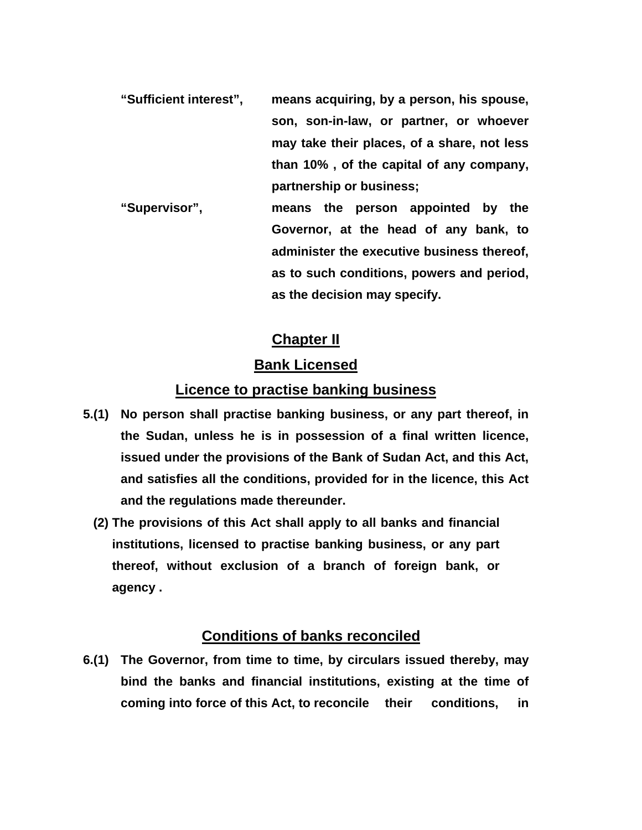- **"Sufficient interest", means acquiring, by a person, his spouse, son, son-in-law, or partner, or whoever may take their places, of a share, not less than 10% , of the capital of any company, partnership or business;**
- **"Supervisor", means the person appointed by the Governor, at the head of any bank, to administer the executive business thereof, as to such conditions, powers and period, as the decision may specify.**

# **Chapter II**

# **Bank Licensed**

# **Licence to practise banking business**

- **5.(1) No person shall practise banking business, or any part thereof, in the Sudan, unless he is in possession of a final written licence, issued under the provisions of the Bank of Sudan Act, and this Act, and satisfies all the conditions, provided for in the licence, this Act and the regulations made thereunder.** 
	- **(2) The provisions of this Act shall apply to all banks and financial institutions, licensed to practise banking business, or any part thereof, without exclusion of a branch of foreign bank, or agency .**

# **Conditions of banks reconciled**

**6.(1) The Governor, from time to time, by circulars issued thereby, may bind the banks and financial institutions, existing at the time of coming into force of this Act, to reconcile their conditions, in**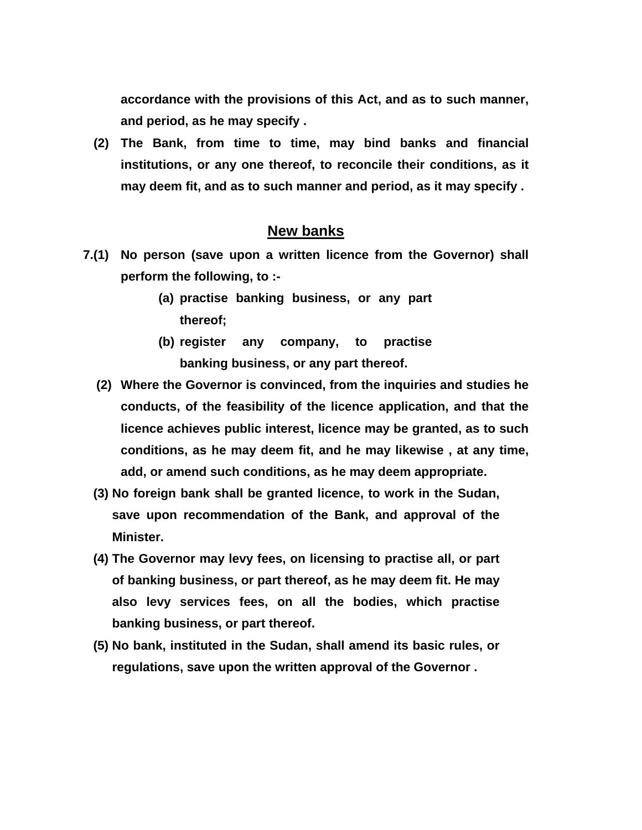**accordance with the provisions of this Act, and as to such manner, and period, as he may specify .** 

 **(2) The Bank, from time to time, may bind banks and financial institutions, or any one thereof, to reconcile their conditions, as it may deem fit, and as to such manner and period, as it may specify .** 

#### **New banks**

- **7.(1) No person (save upon a written licence from the Governor) shall perform the following, to :-** 
	- **(a) practise banking business, or any part thereof;**
	- **(b) register any company, to practise banking business, or any part thereof.**
	- **(2) Where the Governor is convinced, from the inquiries and studies he conducts, of the feasibility of the licence application, and that the licence achieves public interest, licence may be granted, as to such conditions, as he may deem fit, and he may likewise , at any time, add, or amend such conditions, as he may deem appropriate.**
	- **(3) No foreign bank shall be granted licence, to work in the Sudan, save upon recommendation of the Bank, and approval of the Minister.**
	- **(4) The Governor may levy fees, on licensing to practise all, or part of banking business, or part thereof, as he may deem fit. He may also levy services fees, on all the bodies, which practise banking business, or part thereof.**
	- **(5) No bank, instituted in the Sudan, shall amend its basic rules, or regulations, save upon the written approval of the Governor .**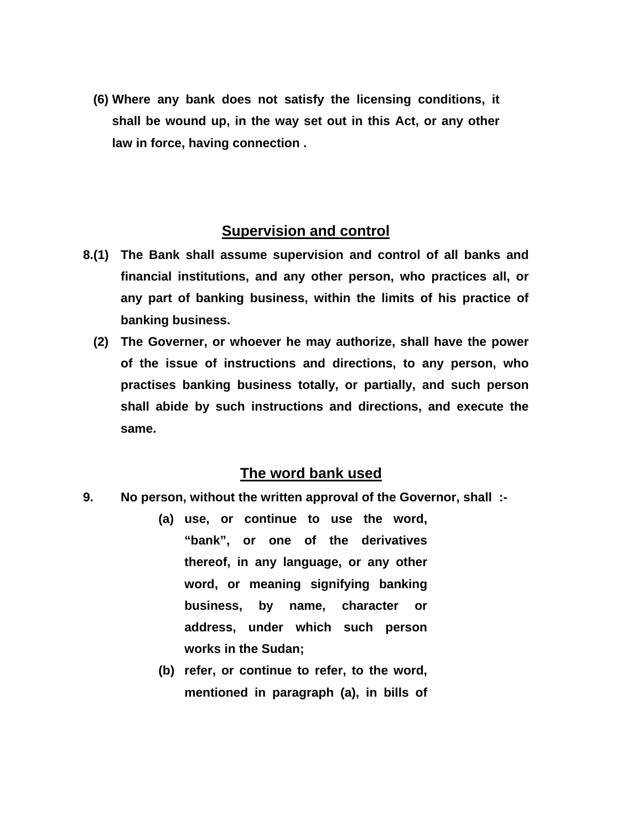**(6) Where any bank does not satisfy the licensing conditions, it shall be wound up, in the way set out in this Act, or any other law in force, having connection .** 

#### **Supervision and control**

- **8.(1) The Bank shall assume supervision and control of all banks and financial institutions, and any other person, who practices all, or any part of banking business, within the limits of his practice of banking business.** 
	- **(2) The Governer, or whoever he may authorize, shall have the power of the issue of instructions and directions, to any person, who practises banking business totally, or partially, and such person shall abide by such instructions and directions, and execute the same.**

#### **The word bank used**

- **9. No person, without the written approval of the Governor, shall :-** 
	- **(a) use, or continue to use the word, "bank", or one of the derivatives thereof, in any language, or any other word, or meaning signifying banking business, by name, character or address, under which such person works in the Sudan;**
	- **(b) refer, or continue to refer, to the word, mentioned in paragraph (a), in bills of**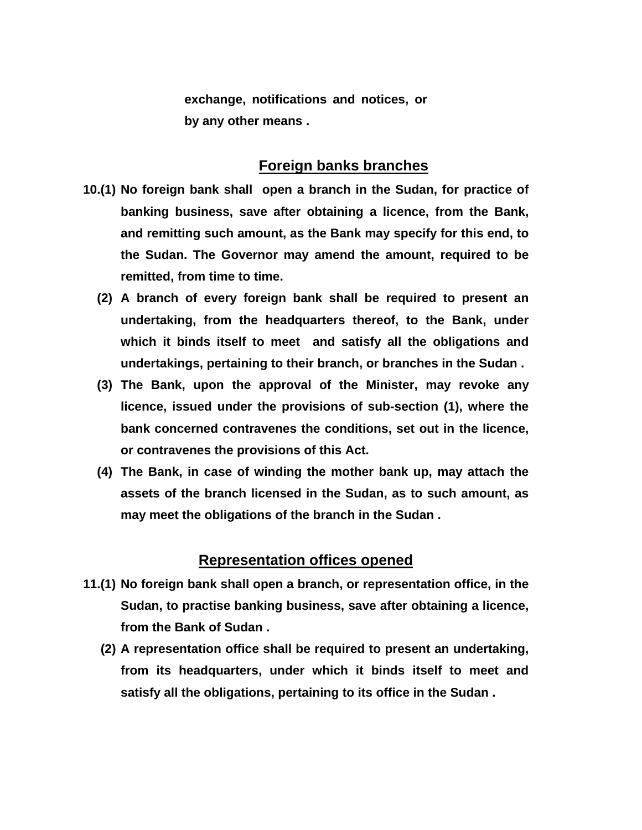**exchange, notifications and notices, or by any other means .** 

# **Foreign banks branches**

- **10.(1) No foreign bank shall open a branch in the Sudan, for practice of banking business, save after obtaining a licence, from the Bank, and remitting such amount, as the Bank may specify for this end, to the Sudan. The Governor may amend the amount, required to be remitted, from time to time.** 
	- **(2) A branch of every foreign bank shall be required to present an undertaking, from the headquarters thereof, to the Bank, under which it binds itself to meet and satisfy all the obligations and undertakings, pertaining to their branch, or branches in the Sudan .**
	- **(3) The Bank, upon the approval of the Minister, may revoke any licence, issued under the provisions of sub-section (1), where the bank concerned contravenes the conditions, set out in the licence, or contravenes the provisions of this Act.**
	- **(4) The Bank, in case of winding the mother bank up, may attach the assets of the branch licensed in the Sudan, as to such amount, as may meet the obligations of the branch in the Sudan .**

#### **Representation offices opened**

- **11.(1) No foreign bank shall open a branch, or representation office, in the Sudan, to practise banking business, save after obtaining a licence, from the Bank of Sudan .** 
	- **(2) A representation office shall be required to present an undertaking, from its headquarters, under which it binds itself to meet and satisfy all the obligations, pertaining to its office in the Sudan .**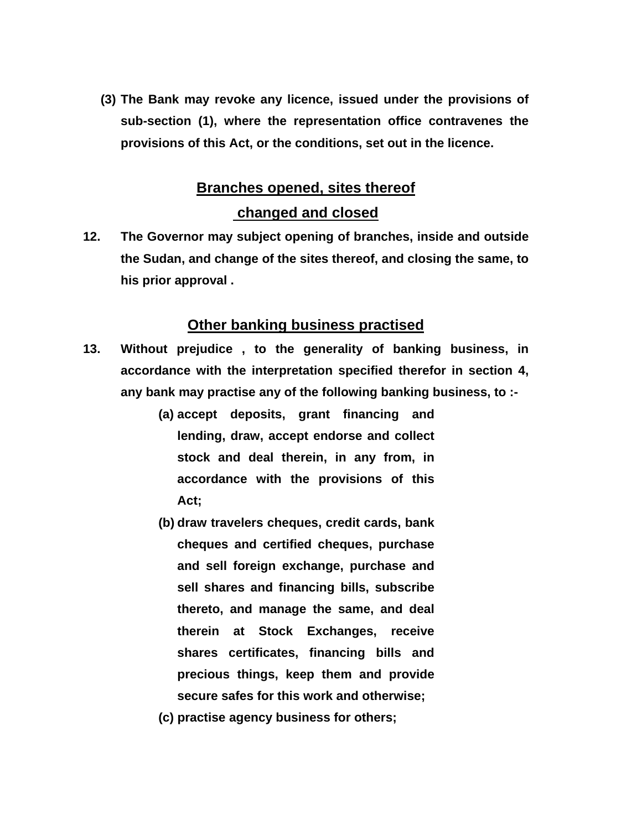**(3) The Bank may revoke any licence, issued under the provisions of sub-section (1), where the representation office contravenes the provisions of this Act, or the conditions, set out in the licence.** 

# **Branches opened, sites thereof**

# **changed and closed**

**12. The Governor may subject opening of branches, inside and outside the Sudan, and change of the sites thereof, and closing the same, to his prior approval .** 

#### **Other banking business practised**

- **13. Without prejudice , to the generality of banking business, in accordance with the interpretation specified therefor in section 4, any bank may practise any of the following banking business, to :-** 
	- **(a) accept deposits, grant financing and lending, draw, accept endorse and collect stock and deal therein, in any from, in accordance with the provisions of this Act;**
	- **(b) draw travelers cheques, credit cards, bank cheques and certified cheques, purchase and sell foreign exchange, purchase and sell shares and financing bills, subscribe thereto, and manage the same, and deal therein at Stock Exchanges, receive shares certificates, financing bills and precious things, keep them and provide secure safes for this work and otherwise;**
	- **(c) practise agency business for others;**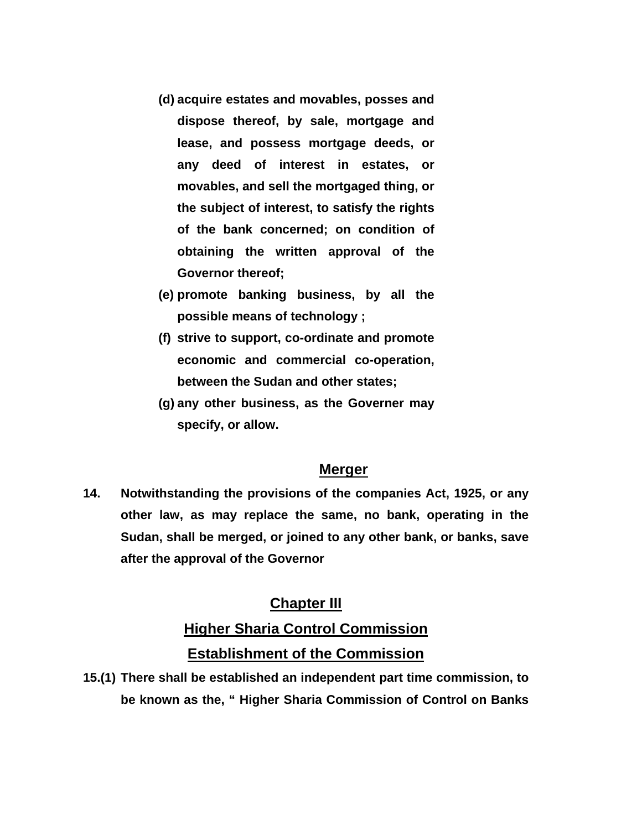- **(d) acquire estates and movables, posses and dispose thereof, by sale, mortgage and lease, and possess mortgage deeds, or any deed of interest in estates, or movables, and sell the mortgaged thing, or the subject of interest, to satisfy the rights of the bank concerned; on condition of obtaining the written approval of the Governor thereof;**
- **(e) promote banking business, by all the possible means of technology ;**
- **(f) strive to support, co-ordinate and promote economic and commercial co-operation, between the Sudan and other states;**
- **(g) any other business, as the Governer may specify, or allow.**

## **Merger**

**14. Notwithstanding the provisions of the companies Act, 1925, or any other law, as may replace the same, no bank, operating in the Sudan, shall be merged, or joined to any other bank, or banks, save after the approval of the Governor** 

# **Chapter III**

# **Higher Sharia Control Commission Establishment of the Commission**

**15.(1) There shall be established an independent part time commission, to be known as the, " Higher Sharia Commission of Control on Banks**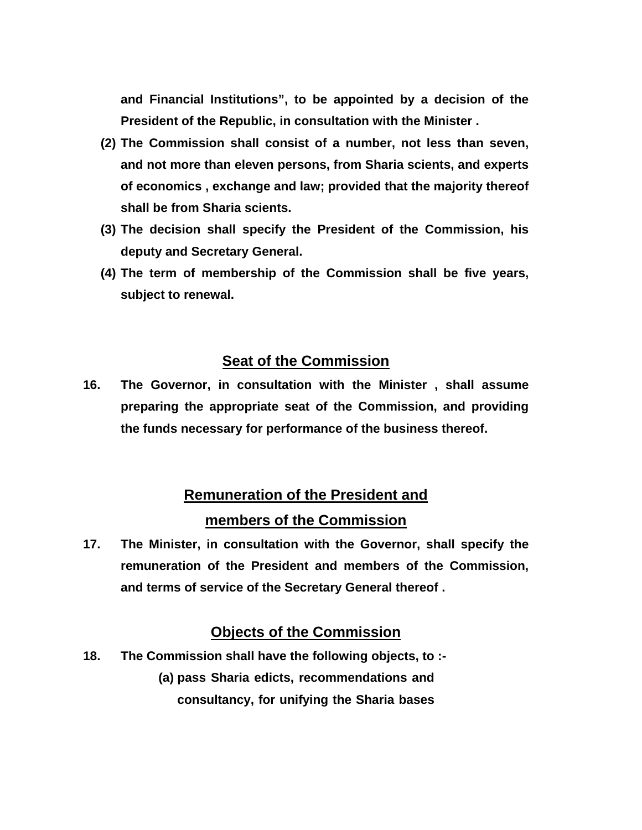**and Financial Institutions", to be appointed by a decision of the President of the Republic, in consultation with the Minister .** 

- **(2) The Commission shall consist of a number, not less than seven, and not more than eleven persons, from Sharia scients, and experts of economics , exchange and law; provided that the majority thereof shall be from Sharia scients.**
- **(3) The decision shall specify the President of the Commission, his deputy and Secretary General.**
- **(4) The term of membership of the Commission shall be five years, subject to renewal.**

## **Seat of the Commission**

**16. The Governor, in consultation with the Minister , shall assume preparing the appropriate seat of the Commission, and providing the funds necessary for performance of the business thereof.** 

# **Remuneration of the President and members of the Commission**

**17. The Minister, in consultation with the Governor, shall specify the remuneration of the President and members of the Commission, and terms of service of the Secretary General thereof .** 

# **Objects of the Commission**

**18. The Commission shall have the following objects, to :- (a) pass Sharia edicts, recommendations and consultancy, for unifying the Sharia bases**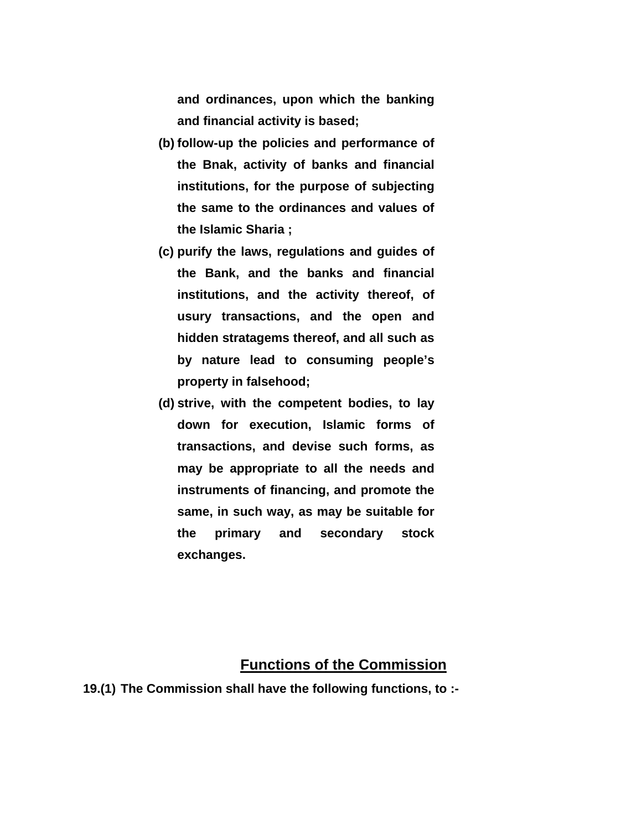**and ordinances, upon which the banking and financial activity is based;** 

- **(b) follow-up the policies and performance of the Bnak, activity of banks and financial institutions, for the purpose of subjecting the same to the ordinances and values of the Islamic Sharia ;**
- **(c) purify the laws, regulations and guides of the Bank, and the banks and financial institutions, and the activity thereof, of usury transactions, and the open and hidden stratagems thereof, and all such as by nature lead to consuming people's property in falsehood;**
- **(d) strive, with the competent bodies, to lay down for execution, Islamic forms of transactions, and devise such forms, as may be appropriate to all the needs and instruments of financing, and promote the same, in such way, as may be suitable for the primary and secondary stock exchanges.**

#### **Functions of the Commission**

**19.(1) The Commission shall have the following functions, to :-**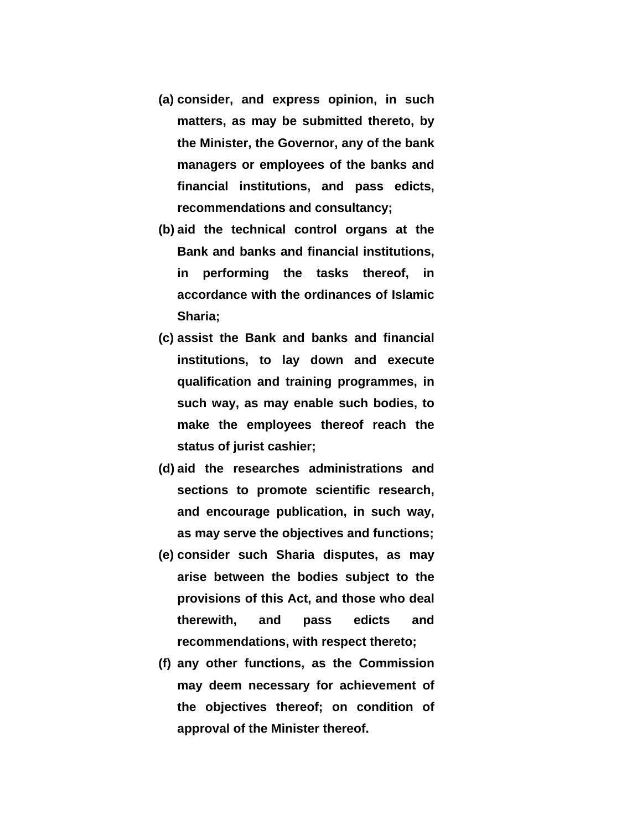- **(a) consider, and express opinion, in such matters, as may be submitted thereto, by the Minister, the Governor, any of the bank managers or employees of the banks and financial institutions, and pass edicts, recommendations and consultancy;**
- **(b) aid the technical control organs at the Bank and banks and financial institutions, in performing the tasks thereof, in accordance with the ordinances of Islamic Sharia;**
- **(c) assist the Bank and banks and financial institutions, to lay down and execute qualification and training programmes, in such way, as may enable such bodies, to make the employees thereof reach the status of jurist cashier;**
- **(d) aid the researches administrations and sections to promote scientific research, and encourage publication, in such way, as may serve the objectives and functions;**
- **(e) consider such Sharia disputes, as may arise between the bodies subject to the provisions of this Act, and those who deal therewith, and pass edicts and recommendations, with respect thereto;**
- **(f) any other functions, as the Commission may deem necessary for achievement of the objectives thereof; on condition of approval of the Minister thereof.**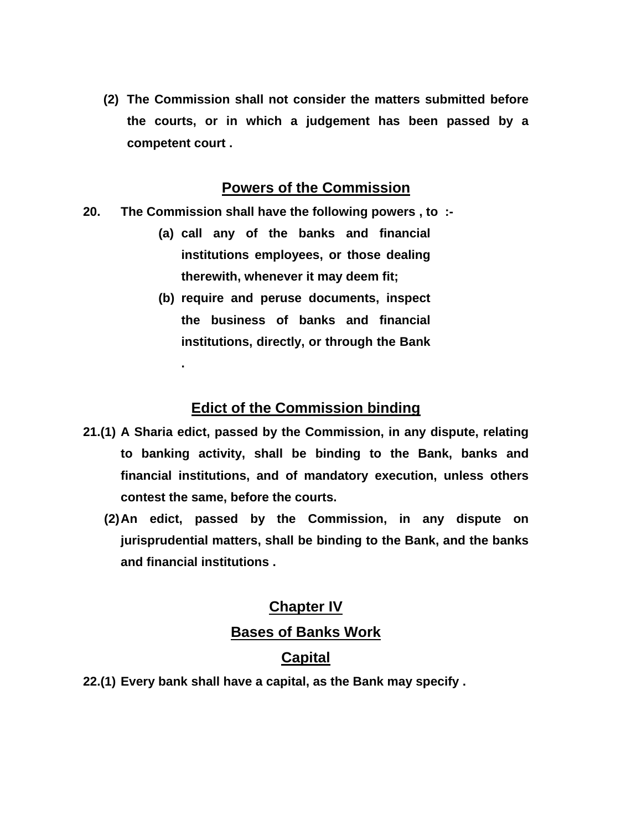**(2) The Commission shall not consider the matters submitted before the courts, or in which a judgement has been passed by a competent court .** 

## **Powers of the Commission**

**20. The Commission shall have the following powers , to :-** 

**.** 

- **(a) call any of the banks and financial institutions employees, or those dealing therewith, whenever it may deem fit;**
- **(b) require and peruse documents, inspect the business of banks and financial institutions, directly, or through the Bank**

# **Edict of the Commission binding**

- **21.(1) A Sharia edict, passed by the Commission, in any dispute, relating to banking activity, shall be binding to the Bank, banks and financial institutions, and of mandatory execution, unless others contest the same, before the courts.** 
	- **(2) An edict, passed by the Commission, in any dispute on jurisprudential matters, shall be binding to the Bank, and the banks and financial institutions .**

# **Chapter IV Bases of Banks Work**

# **Capital**

**22.(1) Every bank shall have a capital, as the Bank may specify .**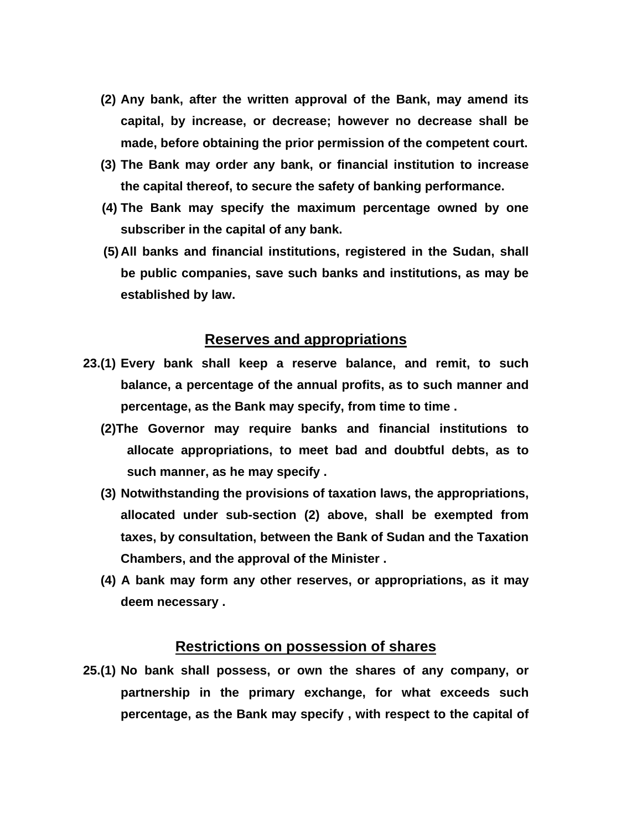- **(2) Any bank, after the written approval of the Bank, may amend its capital, by increase, or decrease; however no decrease shall be made, before obtaining the prior permission of the competent court.**
- **(3) The Bank may order any bank, or financial institution to increase the capital thereof, to secure the safety of banking performance.**
- **(4) The Bank may specify the maximum percentage owned by one subscriber in the capital of any bank.**
- **(5) All banks and financial institutions, registered in the Sudan, shall be public companies, save such banks and institutions, as may be established by law.**

#### **Reserves and appropriations**

- **23.(1) Every bank shall keep a reserve balance, and remit, to such balance, a percentage of the annual profits, as to such manner and percentage, as the Bank may specify, from time to time .** 
	- **(2)The Governor may require banks and financial institutions to allocate appropriations, to meet bad and doubtful debts, as to such manner, as he may specify .**
	- **(3) Notwithstanding the provisions of taxation laws, the appropriations, allocated under sub-section (2) above, shall be exempted from taxes, by consultation, between the Bank of Sudan and the Taxation Chambers, and the approval of the Minister .**
	- **(4) A bank may form any other reserves, or appropriations, as it may deem necessary .**

#### **Restrictions on possession of shares**

**25.(1) No bank shall possess, or own the shares of any company, or partnership in the primary exchange, for what exceeds such percentage, as the Bank may specify , with respect to the capital of**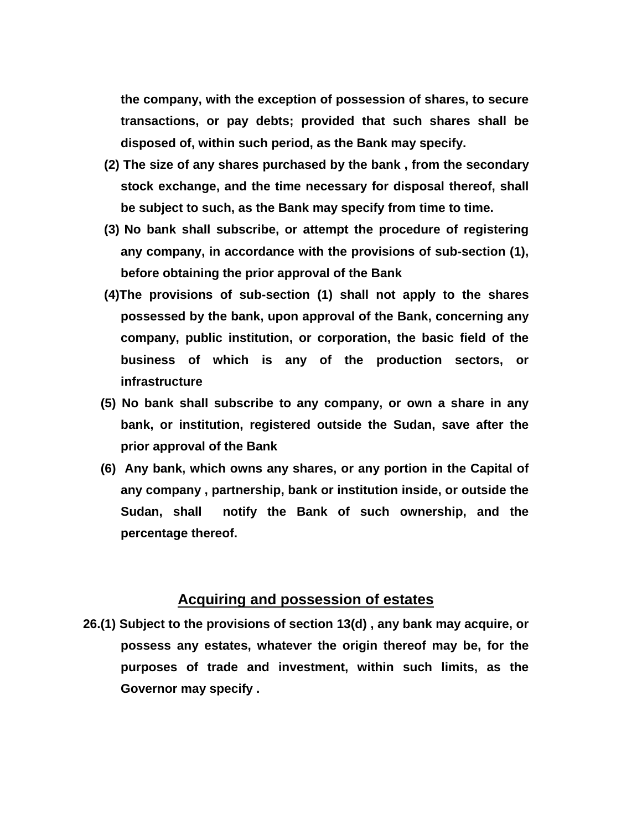**the company, with the exception of possession of shares, to secure transactions, or pay debts; provided that such shares shall be disposed of, within such period, as the Bank may specify.** 

- **(2) The size of any shares purchased by the bank , from the secondary stock exchange, and the time necessary for disposal thereof, shall be subject to such, as the Bank may specify from time to time.**
- **(3) No bank shall subscribe, or attempt the procedure of registering any company, in accordance with the provisions of sub-section (1), before obtaining the prior approval of the Bank**
- **(4)The provisions of sub-section (1) shall not apply to the shares possessed by the bank, upon approval of the Bank, concerning any company, public institution, or corporation, the basic field of the business of which is any of the production sectors, or infrastructure**
- **(5) No bank shall subscribe to any company, or own a share in any bank, or institution, registered outside the Sudan, save after the prior approval of the Bank**
- **(6) Any bank, which owns any shares, or any portion in the Capital of any company , partnership, bank or institution inside, or outside the Sudan, shall notify the Bank of such ownership, and the percentage thereof.**

#### **Acquiring and possession of estates**

**26.(1) Subject to the provisions of section 13(d) , any bank may acquire, or possess any estates, whatever the origin thereof may be, for the purposes of trade and investment, within such limits, as the Governor may specify .**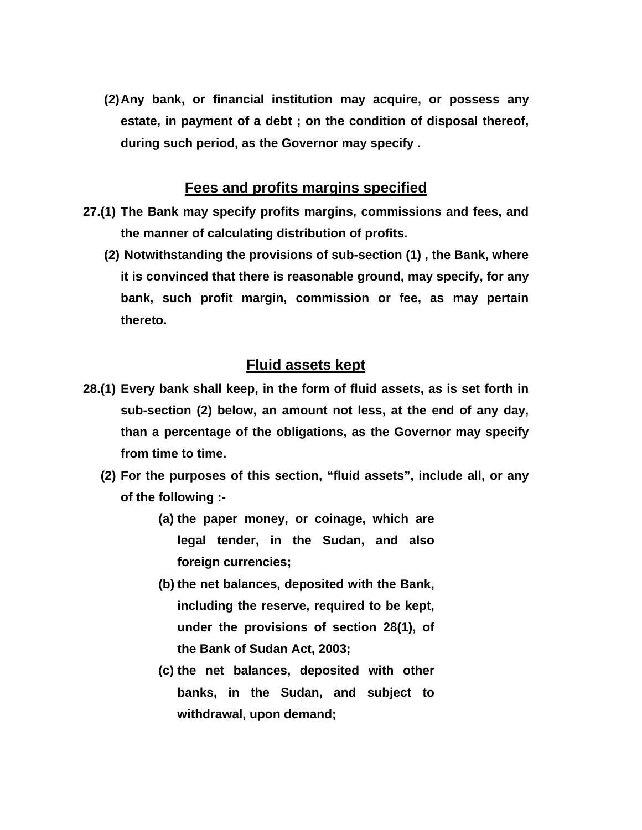**(2) Any bank, or financial institution may acquire, or possess any estate, in payment of a debt ; on the condition of disposal thereof, during such period, as the Governor may specify .** 

#### **Fees and profits margins specified**

- **27.(1) The Bank may specify profits margins, commissions and fees, and the manner of calculating distribution of profits.** 
	- **(2) Notwithstanding the provisions of sub-section (1) , the Bank, where it is convinced that there is reasonable ground, may specify, for any bank, such profit margin, commission or fee, as may pertain thereto.**

### **Fluid assets kept**

- **28.(1) Every bank shall keep, in the form of fluid assets, as is set forth in sub-section (2) below, an amount not less, at the end of any day, than a percentage of the obligations, as the Governor may specify from time to time.** 
	- **(2) For the purposes of this section, "fluid assets", include all, or any of the following :-** 
		- **(a) the paper money, or coinage, which are legal tender, in the Sudan, and also foreign currencies;**
		- **(b) the net balances, deposited with the Bank, including the reserve, required to be kept, under the provisions of section 28(1), of the Bank of Sudan Act, 2003;**
		- **(c) the net balances, deposited with other banks, in the Sudan, and subject to withdrawal, upon demand;**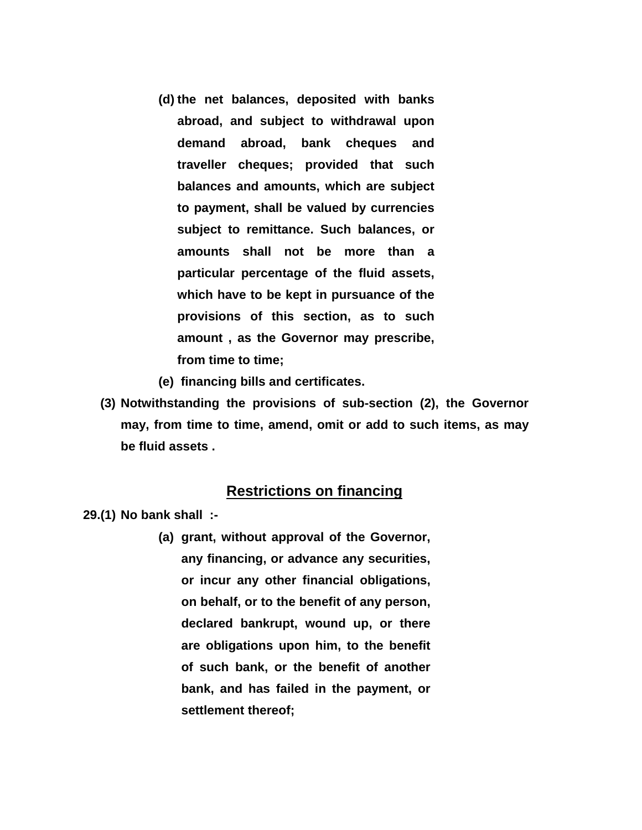- **(d) the net balances, deposited with banks abroad, and subject to withdrawal upon demand abroad, bank cheques and traveller cheques; provided that such balances and amounts, which are subject to payment, shall be valued by currencies subject to remittance. Such balances, or amounts shall not be more than a particular percentage of the fluid assets, which have to be kept in pursuance of the provisions of this section, as to such amount , as the Governor may prescribe, from time to time;**
- **(e) financing bills and certificates.**
- **(3) Notwithstanding the provisions of sub-section (2), the Governor may, from time to time, amend, omit or add to such items, as may be fluid assets .**

### **Restrictions on financing**

**29.(1) No bank shall :-** 

**(a) grant, without approval of the Governor, any financing, or advance any securities, or incur any other financial obligations, on behalf, or to the benefit of any person, declared bankrupt, wound up, or there are obligations upon him, to the benefit of such bank, or the benefit of another bank, and has failed in the payment, or settlement thereof;**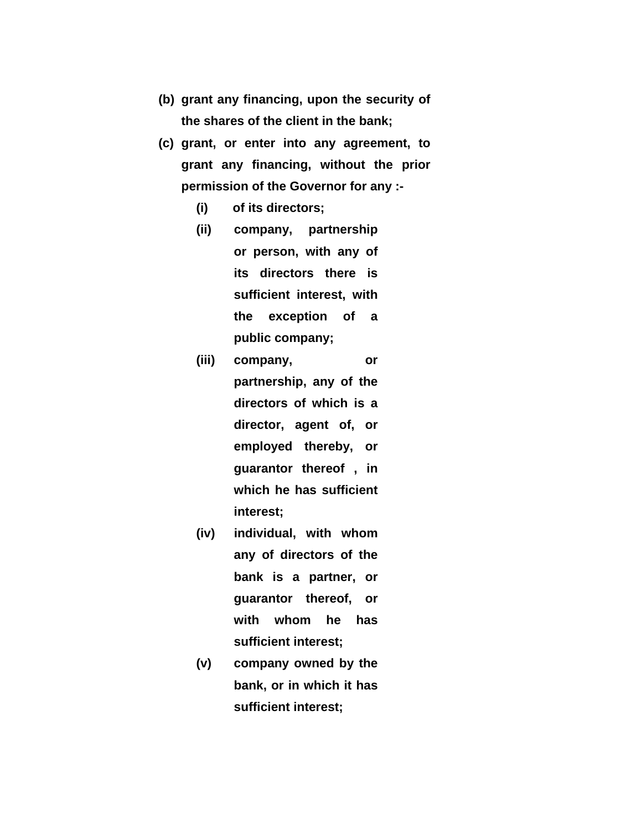- **(b) grant any financing, upon the security of the shares of the client in the bank;**
- **(c) grant, or enter into any agreement, to grant any financing, without the prior permission of the Governor for any :-** 
	- **(i) of its directors;**
	- **(ii) company, partnership or person, with any of its directors there is sufficient interest, with the exception of a public company;**
	- **(iii) company, or partnership, any of the directors of which is a director, agent of, or employed thereby, or guarantor thereof , in which he has sufficient interest;**
	- **(iv) individual, with whom any of directors of the bank is a partner, or guarantor thereof, or with whom he has sufficient interest;**
	- **(v) company owned by the bank, or in which it has sufficient interest;**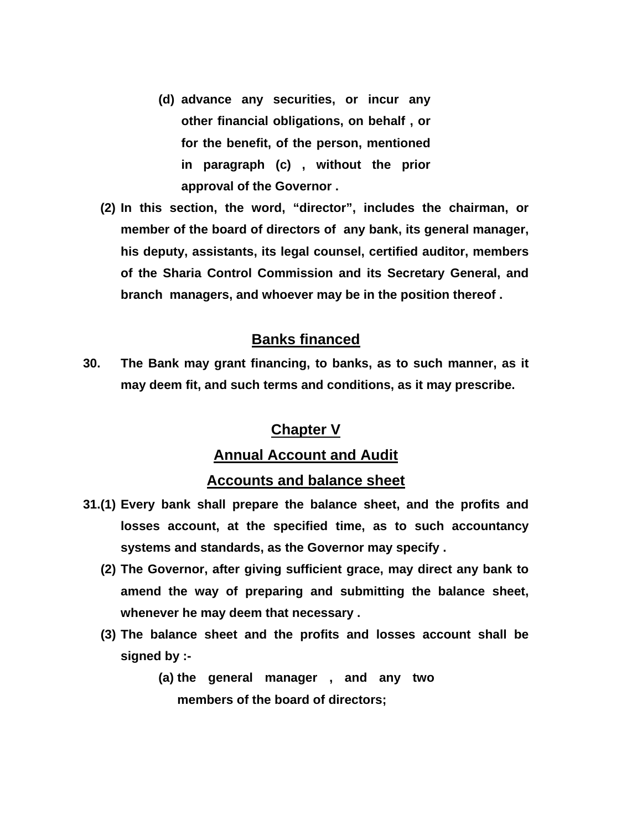- **(d) advance any securities, or incur any other financial obligations, on behalf , or for the benefit, of the person, mentioned in paragraph (c) , without the prior approval of the Governor .**
- **(2) In this section, the word, "director", includes the chairman, or member of the board of directors of any bank, its general manager, his deputy, assistants, its legal counsel, certified auditor, members of the Sharia Control Commission and its Secretary General, and branch managers, and whoever may be in the position thereof .**

### **Banks financed**

**30. The Bank may grant financing, to banks, as to such manner, as it may deem fit, and such terms and conditions, as it may prescribe.** 

# **Chapter V**

#### **Annual Account and Audit**

#### **Accounts and balance sheet**

- **31.(1) Every bank shall prepare the balance sheet, and the profits and losses account, at the specified time, as to such accountancy systems and standards, as the Governor may specify .** 
	- **(2) The Governor, after giving sufficient grace, may direct any bank to amend the way of preparing and submitting the balance sheet, whenever he may deem that necessary .**
	- **(3) The balance sheet and the profits and losses account shall be signed by :-** 
		- **(a) the general manager , and any two members of the board of directors;**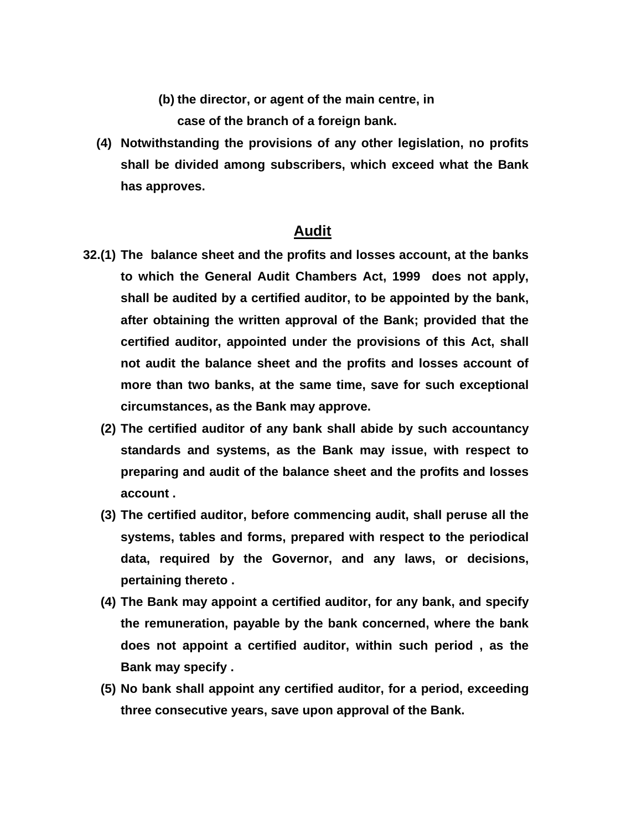**(b) the director, or agent of the main centre, in** 

**case of the branch of a foreign bank.** 

**(4) Notwithstanding the provisions of any other legislation, no profits shall be divided among subscribers, which exceed what the Bank has approves.** 

#### **Audit**

- **32.(1) The balance sheet and the profits and losses account, at the banks to which the General Audit Chambers Act, 1999 does not apply, shall be audited by a certified auditor, to be appointed by the bank, after obtaining the written approval of the Bank; provided that the certified auditor, appointed under the provisions of this Act, shall not audit the balance sheet and the profits and losses account of more than two banks, at the same time, save for such exceptional circumstances, as the Bank may approve.** 
	- **(2) The certified auditor of any bank shall abide by such accountancy standards and systems, as the Bank may issue, with respect to preparing and audit of the balance sheet and the profits and losses account .**
	- **(3) The certified auditor, before commencing audit, shall peruse all the systems, tables and forms, prepared with respect to the periodical data, required by the Governor, and any laws, or decisions, pertaining thereto .**
	- **(4) The Bank may appoint a certified auditor, for any bank, and specify the remuneration, payable by the bank concerned, where the bank does not appoint a certified auditor, within such period , as the Bank may specify .**
	- **(5) No bank shall appoint any certified auditor, for a period, exceeding three consecutive years, save upon approval of the Bank.**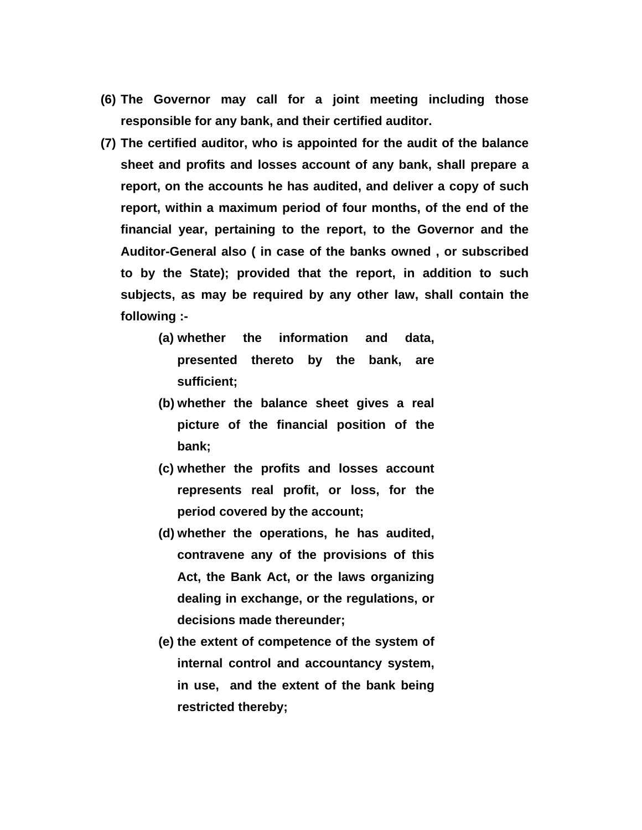- **(6) The Governor may call for a joint meeting including those responsible for any bank, and their certified auditor.**
- **(7) The certified auditor, who is appointed for the audit of the balance sheet and profits and losses account of any bank, shall prepare a report, on the accounts he has audited, and deliver a copy of such report, within a maximum period of four months, of the end of the financial year, pertaining to the report, to the Governor and the Auditor-General also ( in case of the banks owned , or subscribed to by the State); provided that the report, in addition to such subjects, as may be required by any other law, shall contain the following :-** 
	- **(a) whether the information and data, presented thereto by the bank, are sufficient;**
	- **(b) whether the balance sheet gives a real picture of the financial position of the bank;**
	- **(c) whether the profits and losses account represents real profit, or loss, for the period covered by the account;**
	- **(d) whether the operations, he has audited, contravene any of the provisions of this Act, the Bank Act, or the laws organizing dealing in exchange, or the regulations, or decisions made thereunder;**
	- **(e) the extent of competence of the system of internal control and accountancy system, in use, and the extent of the bank being restricted thereby;**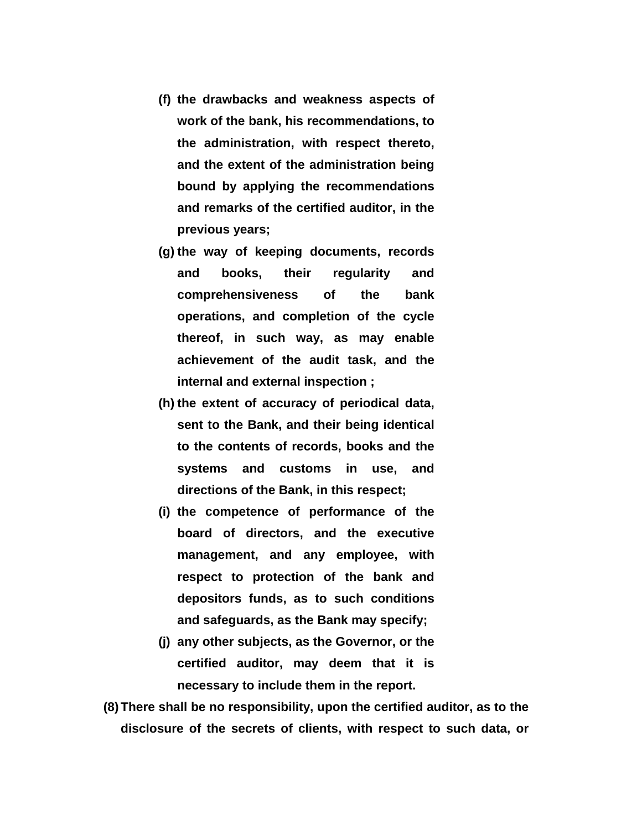- **(f) the drawbacks and weakness aspects of work of the bank, his recommendations, to the administration, with respect thereto, and the extent of the administration being bound by applying the recommendations and remarks of the certified auditor, in the previous years;**
- **(g) the way of keeping documents, records and books, their regularity and comprehensiveness of the bank operations, and completion of the cycle thereof, in such way, as may enable achievement of the audit task, and the internal and external inspection ;**
- **(h) the extent of accuracy of periodical data, sent to the Bank, and their being identical to the contents of records, books and the systems and customs in use, and directions of the Bank, in this respect;**
- **(i) the competence of performance of the board of directors, and the executive management, and any employee, with respect to protection of the bank and depositors funds, as to such conditions and safeguards, as the Bank may specify;**
- **(j) any other subjects, as the Governor, or the certified auditor, may deem that it is necessary to include them in the report.**
- **(8) There shall be no responsibility, upon the certified auditor, as to the disclosure of the secrets of clients, with respect to such data, or**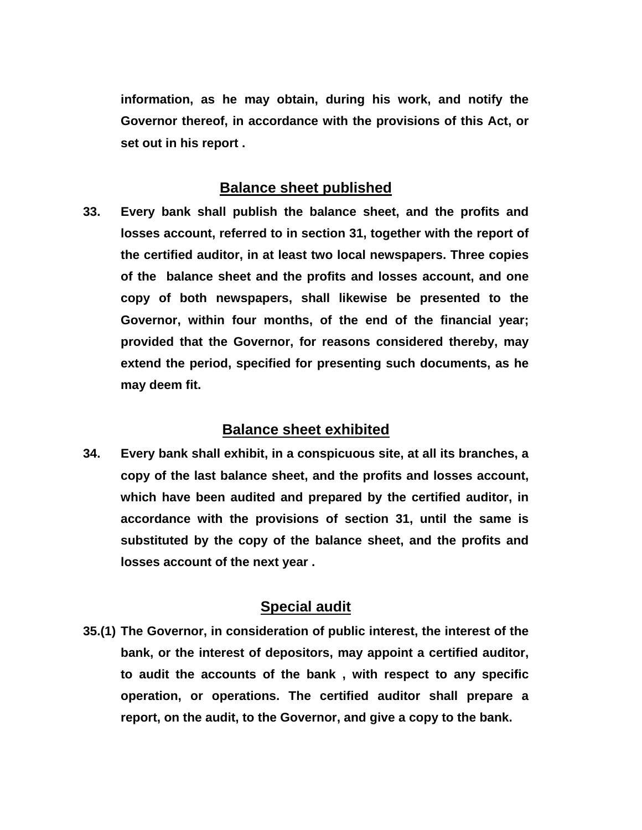**information, as he may obtain, during his work, and notify the Governor thereof, in accordance with the provisions of this Act, or set out in his report .** 

#### **Balance sheet published**

**33. Every bank shall publish the balance sheet, and the profits and losses account, referred to in section 31, together with the report of the certified auditor, in at least two local newspapers. Three copies of the balance sheet and the profits and losses account, and one copy of both newspapers, shall likewise be presented to the Governor, within four months, of the end of the financial year; provided that the Governor, for reasons considered thereby, may extend the period, specified for presenting such documents, as he may deem fit.** 

#### **Balance sheet exhibited**

**34. Every bank shall exhibit, in a conspicuous site, at all its branches, a copy of the last balance sheet, and the profits and losses account, which have been audited and prepared by the certified auditor, in accordance with the provisions of section 31, until the same is substituted by the copy of the balance sheet, and the profits and losses account of the next year .** 

#### **Special audit**

**35.(1) The Governor, in consideration of public interest, the interest of the bank, or the interest of depositors, may appoint a certified auditor, to audit the accounts of the bank , with respect to any specific operation, or operations. The certified auditor shall prepare a report, on the audit, to the Governor, and give a copy to the bank.**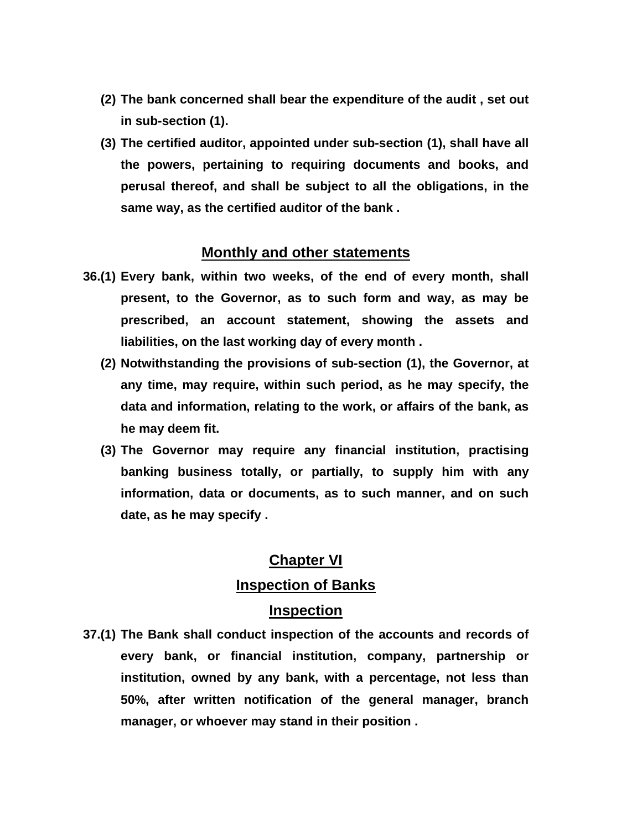- **(2) The bank concerned shall bear the expenditure of the audit , set out in sub-section (1).**
- **(3) The certified auditor, appointed under sub-section (1), shall have all the powers, pertaining to requiring documents and books, and perusal thereof, and shall be subject to all the obligations, in the same way, as the certified auditor of the bank .**

# **Monthly and other statements**

- **36.(1) Every bank, within two weeks, of the end of every month, shall present, to the Governor, as to such form and way, as may be prescribed, an account statement, showing the assets and liabilities, on the last working day of every month .** 
	- **(2) Notwithstanding the provisions of sub-section (1), the Governor, at any time, may require, within such period, as he may specify, the data and information, relating to the work, or affairs of the bank, as he may deem fit.**
	- **(3) The Governor may require any financial institution, practising banking business totally, or partially, to supply him with any information, data or documents, as to such manner, and on such date, as he may specify .**

#### **Chapter VI**

#### **Inspection of Banks**

#### **Inspection**

**37.(1) The Bank shall conduct inspection of the accounts and records of every bank, or financial institution, company, partnership or institution, owned by any bank, with a percentage, not less than 50%, after written notification of the general manager, branch manager, or whoever may stand in their position .**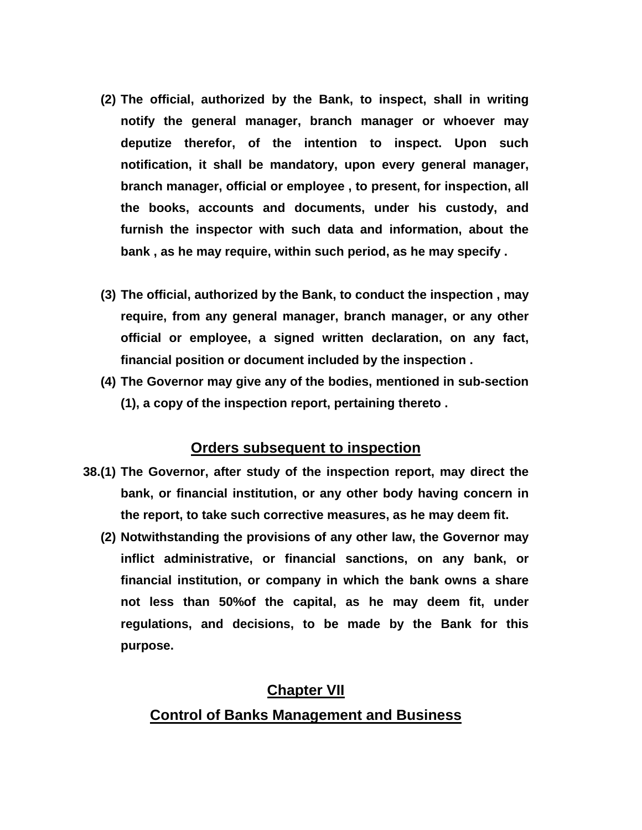- **(2) The official, authorized by the Bank, to inspect, shall in writing notify the general manager, branch manager or whoever may deputize therefor, of the intention to inspect. Upon such notification, it shall be mandatory, upon every general manager, branch manager, official or employee , to present, for inspection, all the books, accounts and documents, under his custody, and furnish the inspector with such data and information, about the bank , as he may require, within such period, as he may specify .**
- **(3) The official, authorized by the Bank, to conduct the inspection , may require, from any general manager, branch manager, or any other official or employee, a signed written declaration, on any fact, financial position or document included by the inspection .**
- **(4) The Governor may give any of the bodies, mentioned in sub-section (1), a copy of the inspection report, pertaining thereto .**

#### **Orders subsequent to inspection**

- **38.(1) The Governor, after study of the inspection report, may direct the bank, or financial institution, or any other body having concern in the report, to take such corrective measures, as he may deem fit.** 
	- **(2) Notwithstanding the provisions of any other law, the Governor may inflict administrative, or financial sanctions, on any bank, or financial institution, or company in which the bank owns a share not less than 50%of the capital, as he may deem fit, under regulations, and decisions, to be made by the Bank for this purpose.**

## **Chapter VII**

## **Control of Banks Management and Business**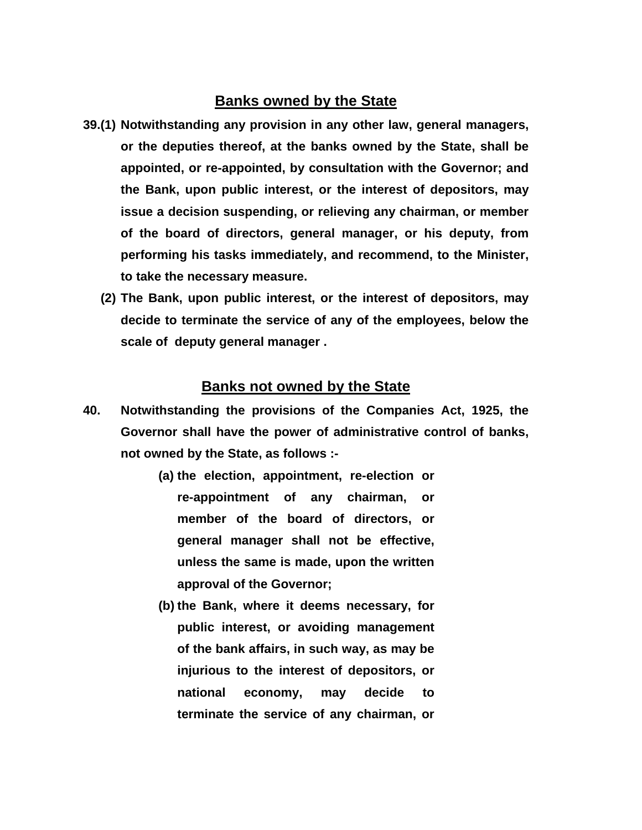### **Banks owned by the State**

- **39.(1) Notwithstanding any provision in any other law, general managers, or the deputies thereof, at the banks owned by the State, shall be appointed, or re-appointed, by consultation with the Governor; and the Bank, upon public interest, or the interest of depositors, may issue a decision suspending, or relieving any chairman, or member of the board of directors, general manager, or his deputy, from performing his tasks immediately, and recommend, to the Minister, to take the necessary measure.** 
	- **(2) The Bank, upon public interest, or the interest of depositors, may decide to terminate the service of any of the employees, below the scale of deputy general manager .**

#### **Banks not owned by the State**

- **40. Notwithstanding the provisions of the Companies Act, 1925, the Governor shall have the power of administrative control of banks, not owned by the State, as follows :-** 
	- **(a) the election, appointment, re-election or re-appointment of any chairman, or member of the board of directors, or general manager shall not be effective, unless the same is made, upon the written approval of the Governor;**
	- **(b) the Bank, where it deems necessary, for public interest, or avoiding management of the bank affairs, in such way, as may be injurious to the interest of depositors, or national economy, may decide to terminate the service of any chairman, or**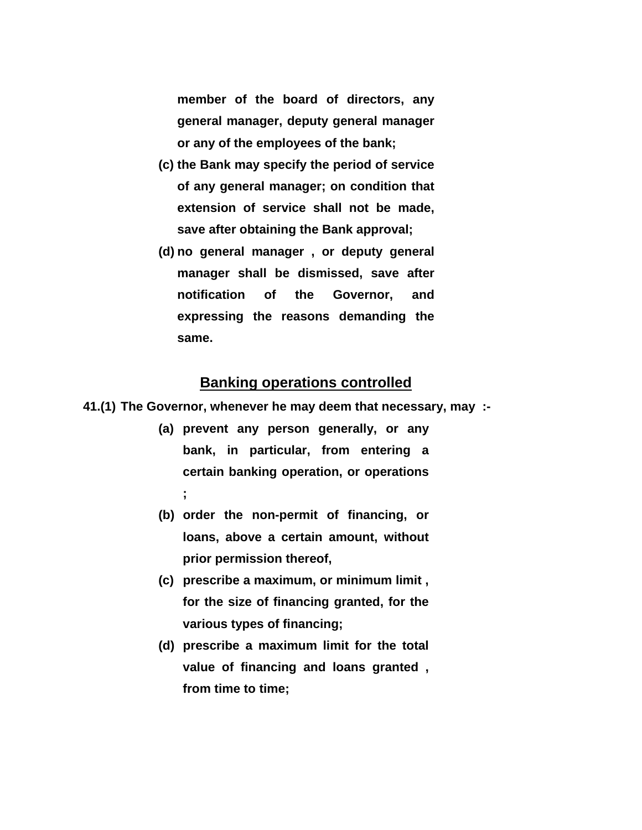**member of the board of directors, any general manager, deputy general manager or any of the employees of the bank;** 

- **(c) the Bank may specify the period of service of any general manager; on condition that extension of service shall not be made, save after obtaining the Bank approval;**
- **(d) no general manager , or deputy general manager shall be dismissed, save after notification of the Governor, and expressing the reasons demanding the same.**

# **Banking operations controlled**

**41.(1) The Governor, whenever he may deem that necessary, may :-** 

- **(a) prevent any person generally, or any bank, in particular, from entering a certain banking operation, or operations ;**
- **(b) order the non-permit of financing, or loans, above a certain amount, without prior permission thereof,**
- **(c) prescribe a maximum, or minimum limit , for the size of financing granted, for the various types of financing;**
- **(d) prescribe a maximum limit for the total value of financing and loans granted , from time to time;**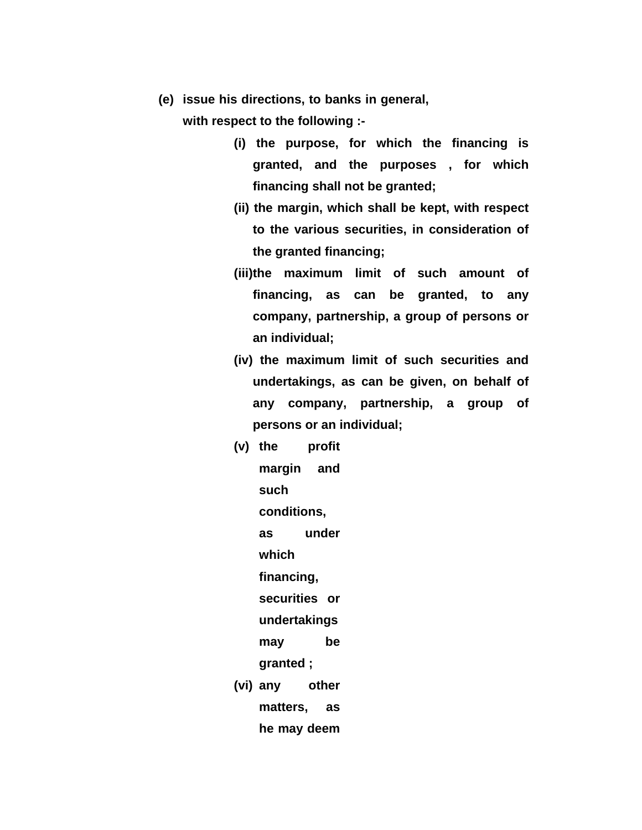**(e) issue his directions, to banks in general,** 

**with respect to the following :-** 

- **(i) the purpose, for which the financing is granted, and the purposes , for which financing shall not be granted;**
- **(ii) the margin, which shall be kept, with respect to the various securities, in consideration of the granted financing;**
- **(iii)the maximum limit of such amount of financing, as can be granted, to any company, partnership, a group of persons or an individual;**
- **(iv) the maximum limit of such securities and undertakings, as can be given, on behalf of any company, partnership, a group of persons or an individual;**
- **(v) the profit margin and such conditions, as under which financing, securities or undertakings may be granted ; (vi) any other matters, as he may deem**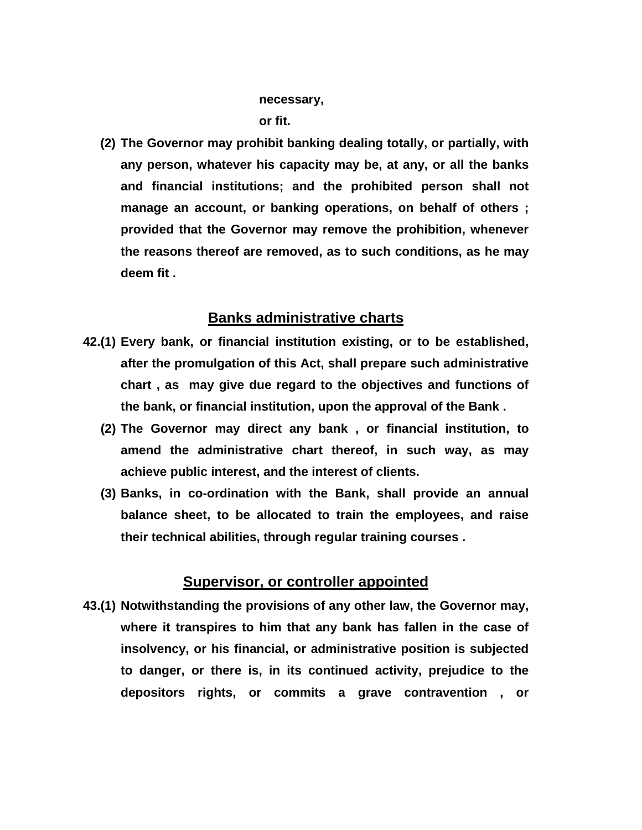#### **necessary,**

**or fit.** 

**(2) The Governor may prohibit banking dealing totally, or partially, with any person, whatever his capacity may be, at any, or all the banks and financial institutions; and the prohibited person shall not manage an account, or banking operations, on behalf of others ; provided that the Governor may remove the prohibition, whenever the reasons thereof are removed, as to such conditions, as he may deem fit .** 

### **Banks administrative charts**

- **42.(1) Every bank, or financial institution existing, or to be established, after the promulgation of this Act, shall prepare such administrative chart , as may give due regard to the objectives and functions of the bank, or financial institution, upon the approval of the Bank .** 
	- **(2) The Governor may direct any bank , or financial institution, to amend the administrative chart thereof, in such way, as may achieve public interest, and the interest of clients.**
	- **(3) Banks, in co-ordination with the Bank, shall provide an annual balance sheet, to be allocated to train the employees, and raise their technical abilities, through regular training courses .**

#### **Supervisor, or controller appointed**

**43.(1) Notwithstanding the provisions of any other law, the Governor may, where it transpires to him that any bank has fallen in the case of insolvency, or his financial, or administrative position is subjected to danger, or there is, in its continued activity, prejudice to the depositors rights, or commits a grave contravention , or**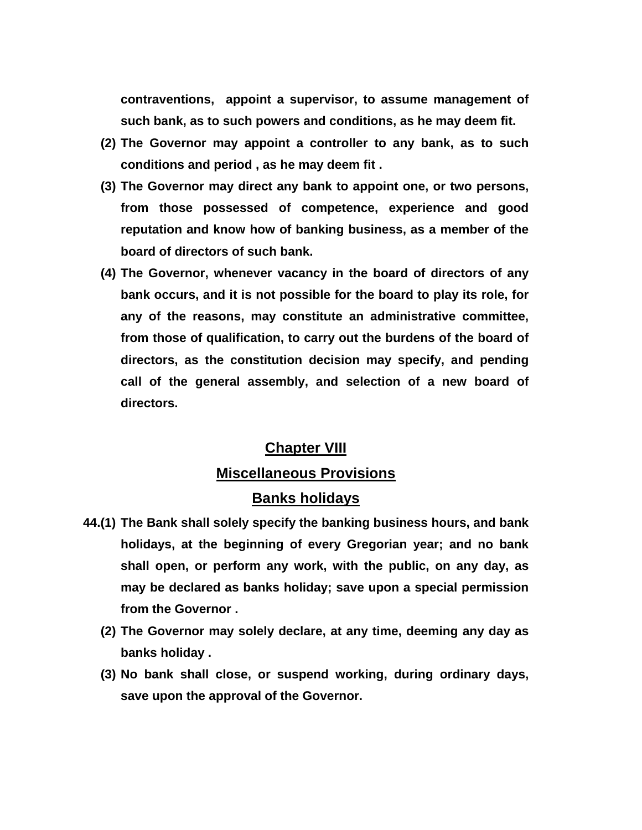**contraventions, appoint a supervisor, to assume management of such bank, as to such powers and conditions, as he may deem fit.** 

- **(2) The Governor may appoint a controller to any bank, as to such conditions and period , as he may deem fit .**
- **(3) The Governor may direct any bank to appoint one, or two persons, from those possessed of competence, experience and good reputation and know how of banking business, as a member of the board of directors of such bank.**
- **(4) The Governor, whenever vacancy in the board of directors of any bank occurs, and it is not possible for the board to play its role, for any of the reasons, may constitute an administrative committee, from those of qualification, to carry out the burdens of the board of directors, as the constitution decision may specify, and pending call of the general assembly, and selection of a new board of directors.**

#### **Chapter VIII**

#### **Miscellaneous Provisions**

#### **Banks holidays**

- **44.(1) The Bank shall solely specify the banking business hours, and bank holidays, at the beginning of every Gregorian year; and no bank shall open, or perform any work, with the public, on any day, as may be declared as banks holiday; save upon a special permission from the Governor .** 
	- **(2) The Governor may solely declare, at any time, deeming any day as banks holiday .**
	- **(3) No bank shall close, or suspend working, during ordinary days, save upon the approval of the Governor.**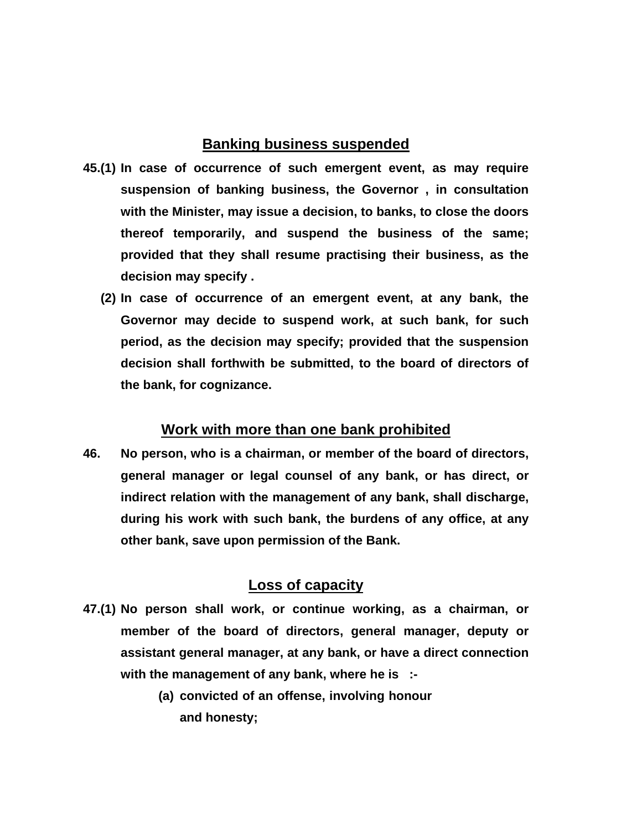#### **Banking business suspended**

- **45.(1) In case of occurrence of such emergent event, as may require suspension of banking business, the Governor , in consultation with the Minister, may issue a decision, to banks, to close the doors thereof temporarily, and suspend the business of the same; provided that they shall resume practising their business, as the decision may specify .** 
	- **(2) In case of occurrence of an emergent event, at any bank, the Governor may decide to suspend work, at such bank, for such period, as the decision may specify; provided that the suspension decision shall forthwith be submitted, to the board of directors of the bank, for cognizance.**

## **Work with more than one bank prohibited**

**46. No person, who is a chairman, or member of the board of directors, general manager or legal counsel of any bank, or has direct, or indirect relation with the management of any bank, shall discharge, during his work with such bank, the burdens of any office, at any other bank, save upon permission of the Bank.** 

# **Loss of capacity**

- **47.(1) No person shall work, or continue working, as a chairman, or member of the board of directors, general manager, deputy or assistant general manager, at any bank, or have a direct connection with the management of any bank, where he is :-** 
	- **(a) convicted of an offense, involving honour and honesty;**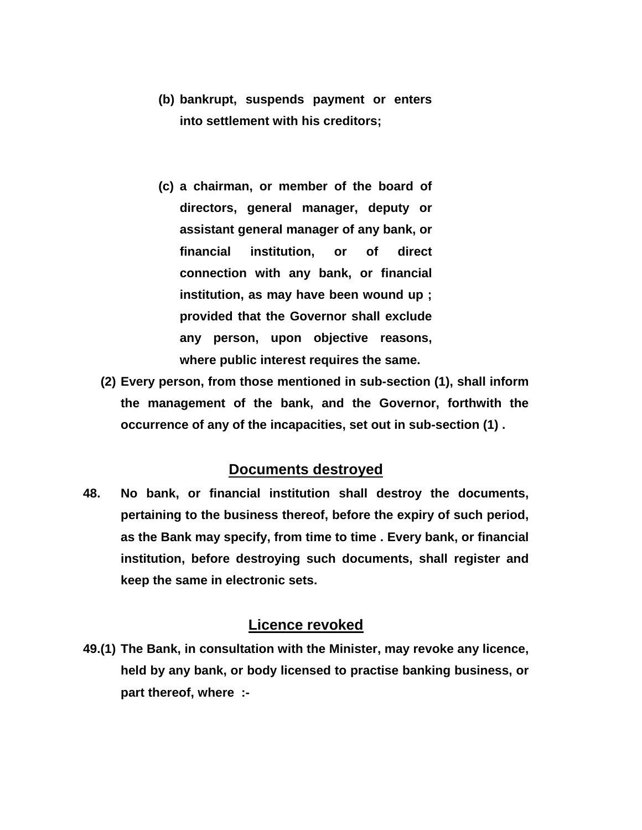- **(b) bankrupt, suspends payment or enters into settlement with his creditors;**
- **(c) a chairman, or member of the board of directors, general manager, deputy or assistant general manager of any bank, or financial institution, or of direct connection with any bank, or financial institution, as may have been wound up ; provided that the Governor shall exclude any person, upon objective reasons, where public interest requires the same.**
- **(2) Every person, from those mentioned in sub-section (1), shall inform the management of the bank, and the Governor, forthwith the occurrence of any of the incapacities, set out in sub-section (1) .**

#### **Documents destroyed**

**48. No bank, or financial institution shall destroy the documents, pertaining to the business thereof, before the expiry of such period, as the Bank may specify, from time to time . Every bank, or financial institution, before destroying such documents, shall register and keep the same in electronic sets.** 

#### **Licence revoked**

**49.(1) The Bank, in consultation with the Minister, may revoke any licence, held by any bank, or body licensed to practise banking business, or part thereof, where :-**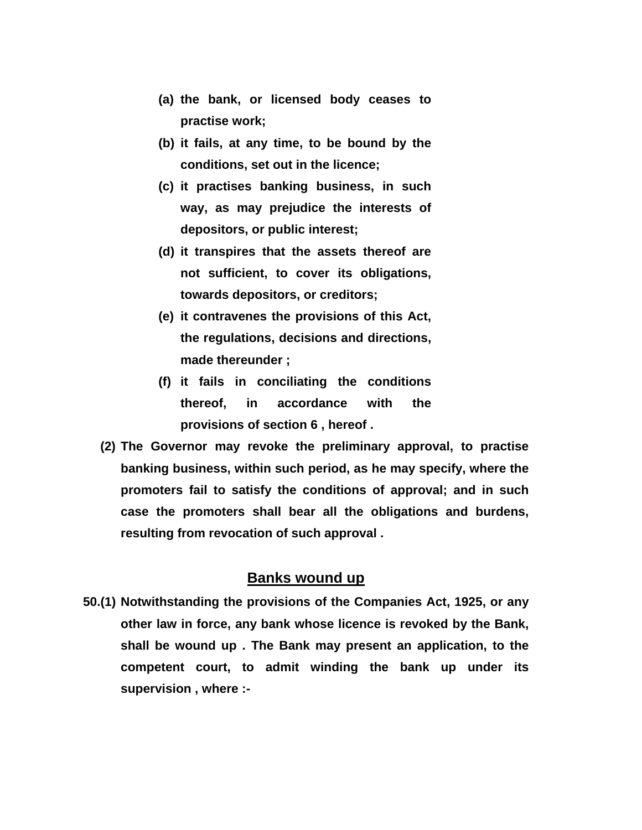- **(a) the bank, or licensed body ceases to practise work;**
- **(b) it fails, at any time, to be bound by the conditions, set out in the licence;**
- **(c) it practises banking business, in such way, as may prejudice the interests of depositors, or public interest;**
- **(d) it transpires that the assets thereof are not sufficient, to cover its obligations, towards depositors, or creditors;**
- **(e) it contravenes the provisions of this Act, the regulations, decisions and directions, made thereunder ;**
- **(f) it fails in conciliating the conditions thereof, in accordance with the provisions of section 6 , hereof .**
- **(2) The Governor may revoke the preliminary approval, to practise banking business, within such period, as he may specify, where the promoters fail to satisfy the conditions of approval; and in such case the promoters shall bear all the obligations and burdens, resulting from revocation of such approval .**

#### **Banks wound up**

**50.(1) Notwithstanding the provisions of the Companies Act, 1925, or any other law in force, any bank whose licence is revoked by the Bank, shall be wound up . The Bank may present an application, to the competent court, to admit winding the bank up under its supervision , where :-**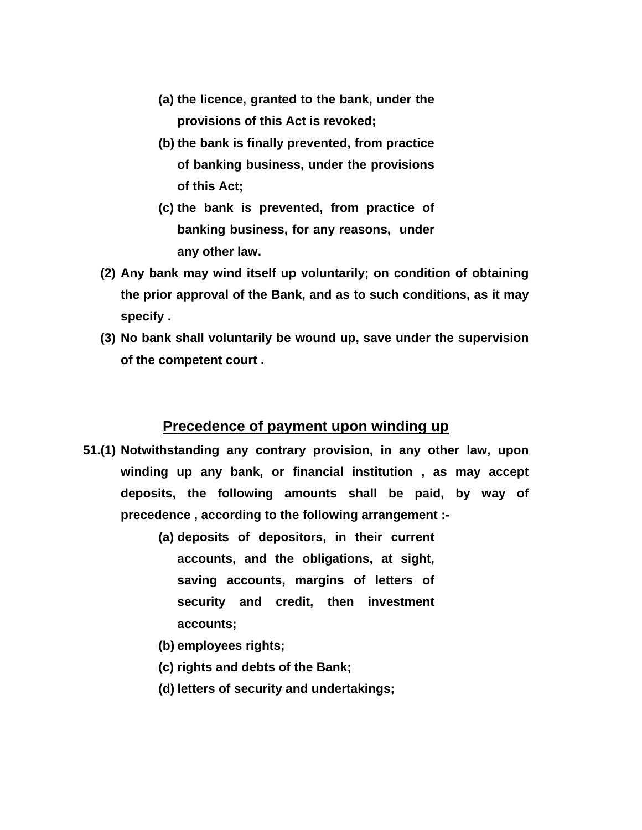- **(a) the licence, granted to the bank, under the provisions of this Act is revoked;**
- **(b) the bank is finally prevented, from practice of banking business, under the provisions of this Act;**
- **(c) the bank is prevented, from practice of banking business, for any reasons, under any other law.**
- **(2) Any bank may wind itself up voluntarily; on condition of obtaining the prior approval of the Bank, and as to such conditions, as it may specify .**
- **(3) No bank shall voluntarily be wound up, save under the supervision of the competent court .**

#### **Precedence of payment upon winding up**

- **51.(1) Notwithstanding any contrary provision, in any other law, upon winding up any bank, or financial institution , as may accept deposits, the following amounts shall be paid, by way of precedence , according to the following arrangement :-** 
	- **(a) deposits of depositors, in their current accounts, and the obligations, at sight, saving accounts, margins of letters of security and credit, then investment accounts;**
	- **(b) employees rights;**
	- **(c) rights and debts of the Bank;**
	- **(d) letters of security and undertakings;**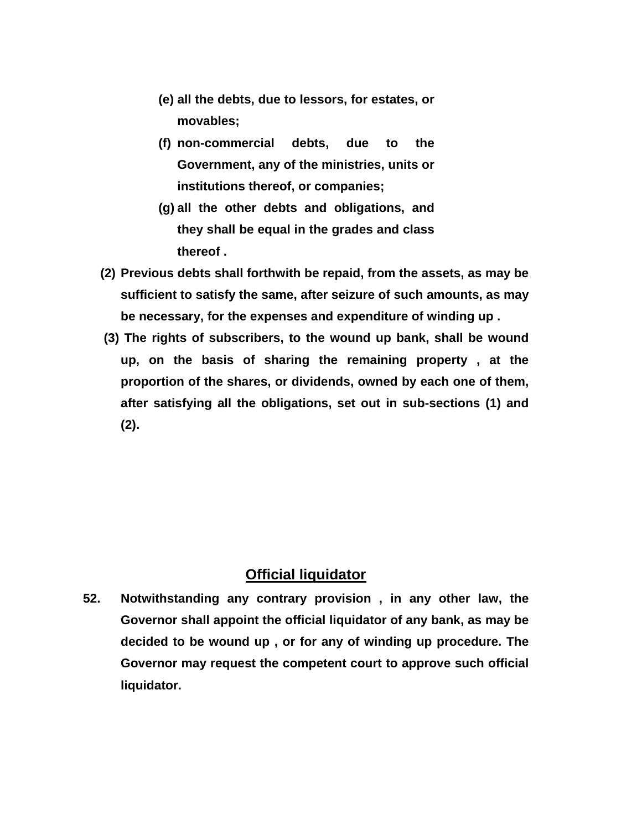- **(e) all the debts, due to lessors, for estates, or movables;**
- **(f) non-commercial debts, due to the Government, any of the ministries, units or institutions thereof, or companies;**
- **(g) all the other debts and obligations, and they shall be equal in the grades and class thereof .**
- **(2) Previous debts shall forthwith be repaid, from the assets, as may be sufficient to satisfy the same, after seizure of such amounts, as may be necessary, for the expenses and expenditure of winding up .**
- **(3) The rights of subscribers, to the wound up bank, shall be wound up, on the basis of sharing the remaining property , at the proportion of the shares, or dividends, owned by each one of them, after satisfying all the obligations, set out in sub-sections (1) and (2).**

# **Official liquidator**

**52. Notwithstanding any contrary provision , in any other law, the Governor shall appoint the official liquidator of any bank, as may be decided to be wound up , or for any of winding up procedure. The Governor may request the competent court to approve such official liquidator.**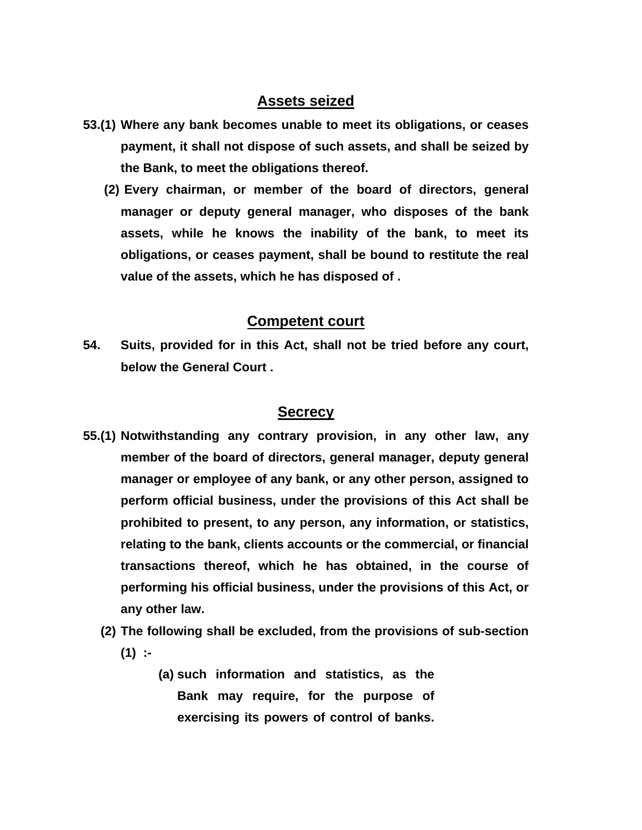# **Assets seized**

- **53.(1) Where any bank becomes unable to meet its obligations, or ceases payment, it shall not dispose of such assets, and shall be seized by the Bank, to meet the obligations thereof.** 
	- **(2) Every chairman, or member of the board of directors, general manager or deputy general manager, who disposes of the bank assets, while he knows the inability of the bank, to meet its obligations, or ceases payment, shall be bound to restitute the real value of the assets, which he has disposed of .**

## **Competent court**

**54. Suits, provided for in this Act, shall not be tried before any court, below the General Court .** 

#### **Secrecy**

- **55.(1) Notwithstanding any contrary provision, in any other law, any member of the board of directors, general manager, deputy general manager or employee of any bank, or any other person, assigned to perform official business, under the provisions of this Act shall be prohibited to present, to any person, any information, or statistics, relating to the bank, clients accounts or the commercial, or financial transactions thereof, which he has obtained, in the course of performing his official business, under the provisions of this Act, or any other law.** 
	- **(2) The following shall be excluded, from the provisions of sub-section (1) :-** 
		- **(a) such information and statistics, as the Bank may require, for the purpose of exercising its powers of control of banks.**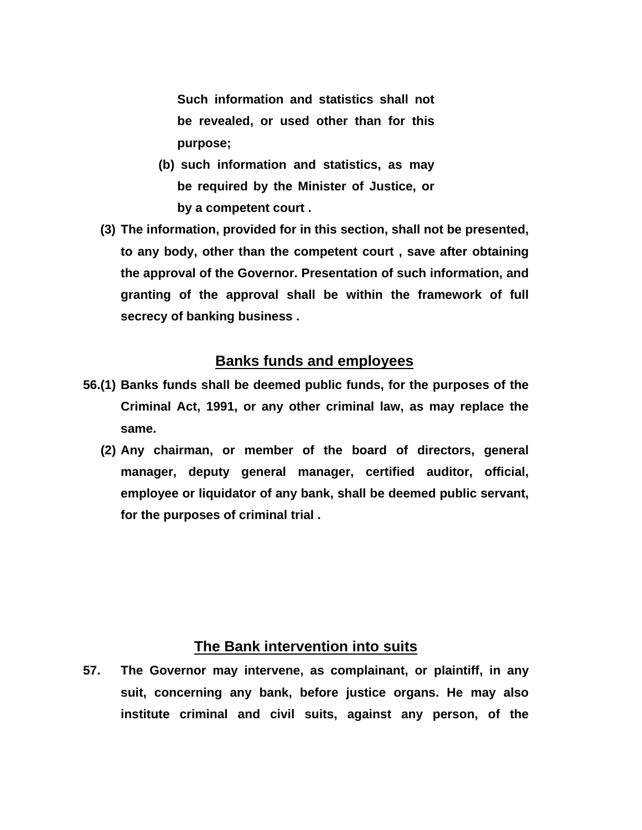**Such information and statistics shall not be revealed, or used other than for this purpose;** 

- **(b) such information and statistics, as may be required by the Minister of Justice, or by a competent court .**
- **(3) The information, provided for in this section, shall not be presented, to any body, other than the competent court , save after obtaining the approval of the Governor. Presentation of such information, and granting of the approval shall be within the framework of full secrecy of banking business .**

### **Banks funds and employees**

- **56.(1) Banks funds shall be deemed public funds, for the purposes of the Criminal Act, 1991, or any other criminal law, as may replace the same.** 
	- **(2) Any chairman, or member of the board of directors, general manager, deputy general manager, certified auditor, official, employee or liquidator of any bank, shall be deemed public servant, for the purposes of criminal trial .**

#### **The Bank intervention into suits**

**57. The Governor may intervene, as complainant, or plaintiff, in any suit, concerning any bank, before justice organs. He may also institute criminal and civil suits, against any person, of the**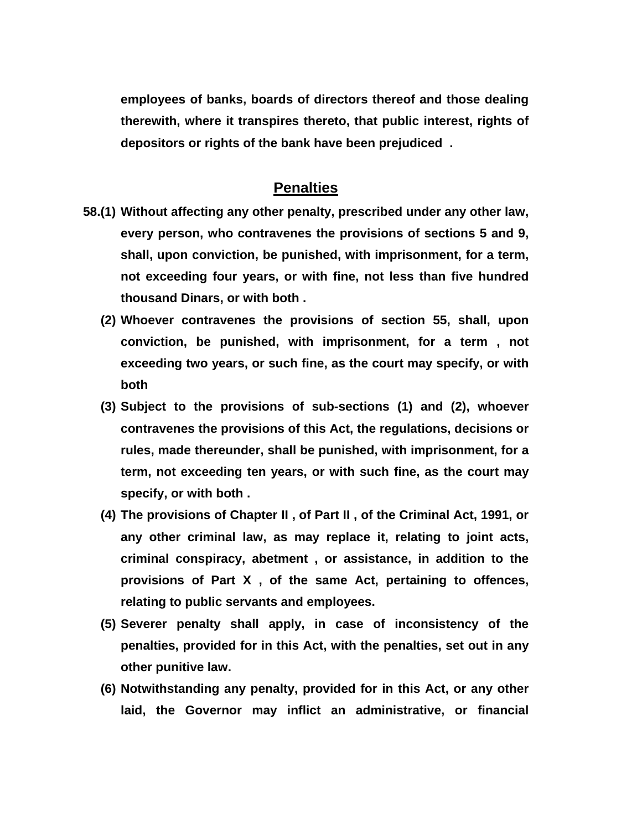**employees of banks, boards of directors thereof and those dealing therewith, where it transpires thereto, that public interest, rights of depositors or rights of the bank have been prejudiced .** 

#### **Penalties**

- **58.(1) Without affecting any other penalty, prescribed under any other law, every person, who contravenes the provisions of sections 5 and 9, shall, upon conviction, be punished, with imprisonment, for a term, not exceeding four years, or with fine, not less than five hundred thousand Dinars, or with both .** 
	- **(2) Whoever contravenes the provisions of section 55, shall, upon conviction, be punished, with imprisonment, for a term , not exceeding two years, or such fine, as the court may specify, or with both**
	- **(3) Subject to the provisions of sub-sections (1) and (2), whoever contravenes the provisions of this Act, the regulations, decisions or rules, made thereunder, shall be punished, with imprisonment, for a term, not exceeding ten years, or with such fine, as the court may specify, or with both .**
	- **(4) The provisions of Chapter II , of Part II , of the Criminal Act, 1991, or any other criminal law, as may replace it, relating to joint acts, criminal conspiracy, abetment , or assistance, in addition to the provisions of Part X , of the same Act, pertaining to offences, relating to public servants and employees.**
	- **(5) Severer penalty shall apply, in case of inconsistency of the penalties, provided for in this Act, with the penalties, set out in any other punitive law.**
	- **(6) Notwithstanding any penalty, provided for in this Act, or any other laid, the Governor may inflict an administrative, or financial**